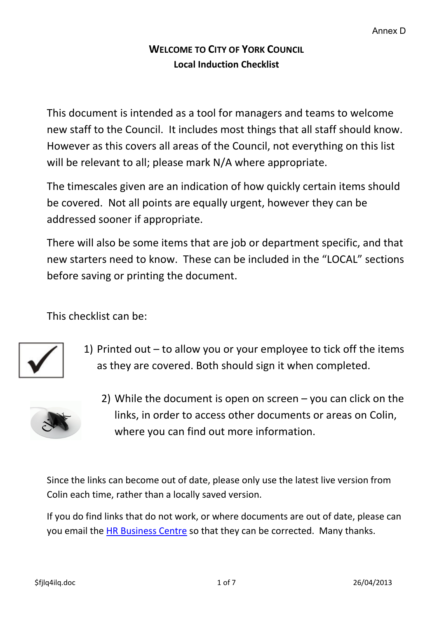## **WELCOME TO CITY OF YORK COUNCIL Local Induction Checklist**

This document is intended as a tool for managers and teams to welcome new staff to the Council. It includes most things that all staff should know. However as this covers all areas of the Council, not everything on this list will be relevant to all; please mark N/A where appropriate.

The timescales given are an indication of how quickly certain items should be covered. Not all points are equally urgent, however they can be addressed sooner if appropriate.

There will also be some items that are job or department specific, and that new starters need to know. These can be included in the "LOCAL" sections before saving or printing the document.

This checklist can be:



1) Printed out – to allow you or your employee to tick off the items as they are covered. Both should sign it when completed.



2) While the document is open on screen – you can click on the links, in order to access other documents or areas on Colin, where you can find out more information.

Since the links can become out of date, please only use the latest live version from Colin each time, rather than a locally saved version.

If you do find links that do not work, or where documents are out of date, please can you email the **HR Business Centre** so that they can be corrected. Many thanks.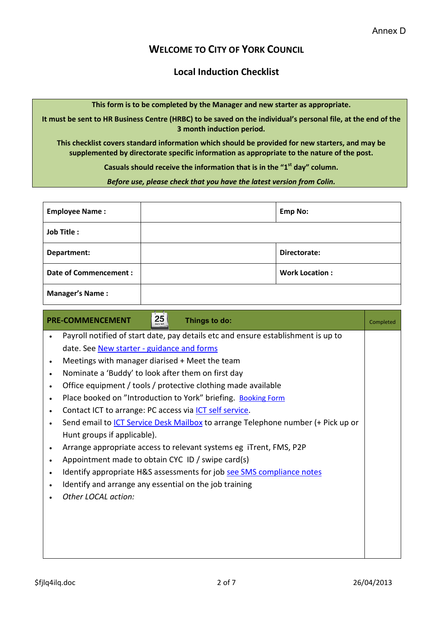## **WELCOME TO CITY OF YORK COUNCIL**

## **Local Induction Checklist**

**This form is to be completed by the Manager and new starter as appropriate.** 

**It must be sent to HR Business Centre (HRBC) to be saved on the individual's personal file, at the end of the 3 month induction period.** 

**This checklist covers standard information which should be provided for new starters, and may be supplemented by directorate specific information as appropriate to the nature of the post.** 

**Casuals should receive the information that is in the "1st day" column.** 

*Before use, please check that you have the latest version from Colin.*

| <b>Employee Name:</b>        | <b>Emp No:</b> |                       |
|------------------------------|----------------|-----------------------|
| <b>Job Title:</b>            |                |                       |
| Department:                  |                | Directorate:          |
| <b>Date of Commencement:</b> |                | <b>Work Location:</b> |
| <b>Manager's Name:</b>       |                |                       |

| $\overline{25}$<br><b>PRE-COMMENCEMENT</b><br>Things to do:                             | Completed |  |  |  |
|-----------------------------------------------------------------------------------------|-----------|--|--|--|
| Payroll notified of start date, pay details etc and ensure establishment is up to       |           |  |  |  |
| date. See New starter - guidance and forms                                              |           |  |  |  |
| Meetings with manager diarised + Meet the team<br>$\bullet$                             |           |  |  |  |
| Nominate a 'Buddy' to look after them on first day<br>٠                                 |           |  |  |  |
| Office equipment / tools / protective clothing made available                           |           |  |  |  |
| Place booked on "Introduction to York" briefing. Booking Form                           |           |  |  |  |
| Contact ICT to arrange: PC access via ICT self service.                                 |           |  |  |  |
| Send email to <i>ICT Service Desk Mailbox</i> to arrange Telephone number (+ Pick up or |           |  |  |  |
| Hunt groups if applicable).                                                             |           |  |  |  |
| Arrange appropriate access to relevant systems eg iTrent, FMS, P2P<br>$\bullet$         |           |  |  |  |
| Appointment made to obtain CYC ID / swipe card(s)                                       |           |  |  |  |
| Identify appropriate H&S assessments for job see SMS compliance notes                   |           |  |  |  |
| Identify and arrange any essential on the job training                                  |           |  |  |  |
| Other LOCAL action:                                                                     |           |  |  |  |
|                                                                                         |           |  |  |  |
|                                                                                         |           |  |  |  |
|                                                                                         |           |  |  |  |
|                                                                                         |           |  |  |  |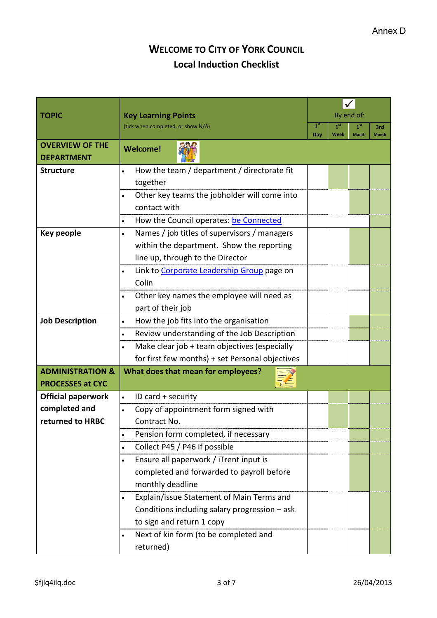## **WELCOME TO CITY OF YORK COUNCIL Local Induction Checklist**

|                             |                                                                  | By end of:             |                 |                 |                     |
|-----------------------------|------------------------------------------------------------------|------------------------|-----------------|-----------------|---------------------|
| <b>TOPIC</b>                | <b>Key Learning Points</b><br>(tick when completed, or show N/A) |                        | 1 <sup>st</sup> | 1 <sup>st</sup> |                     |
|                             |                                                                  | 1 <sup>st</sup><br>Day | Week            | <b>Month</b>    | 3rd<br><b>Month</b> |
| <b>OVERVIEW OF THE</b>      | <b>Welcome!</b>                                                  |                        |                 |                 |                     |
| <b>DEPARTMENT</b>           |                                                                  |                        |                 |                 |                     |
| <b>Structure</b>            | How the team / department / directorate fit<br>$\bullet$         |                        |                 |                 |                     |
|                             | together                                                         |                        |                 |                 |                     |
|                             | Other key teams the jobholder will come into<br>$\bullet$        |                        |                 |                 |                     |
|                             | contact with                                                     |                        |                 |                 |                     |
|                             | How the Council operates: be Connected<br>$\bullet$              |                        |                 |                 |                     |
| <b>Key people</b>           | Names / job titles of supervisors / managers<br>$\bullet$        |                        |                 |                 |                     |
|                             | within the department. Show the reporting                        |                        |                 |                 |                     |
|                             | line up, through to the Director                                 |                        |                 |                 |                     |
|                             | Link to Corporate Leadership Group page on<br>$\bullet$          |                        |                 |                 |                     |
|                             | Colin                                                            |                        |                 |                 |                     |
|                             | Other key names the employee will need as                        |                        |                 |                 |                     |
|                             | part of their job                                                |                        |                 |                 |                     |
| <b>Job Description</b>      | How the job fits into the organisation<br>$\bullet$              |                        |                 |                 |                     |
|                             | Review understanding of the Job Description<br>$\bullet$         |                        |                 |                 |                     |
|                             | Make clear job + team objectives (especially<br>$\bullet$        |                        |                 |                 |                     |
|                             | for first few months) + set Personal objectives                  |                        |                 |                 |                     |
| <b>ADMINISTRATION &amp;</b> | What does that mean for employees?                               |                        |                 |                 |                     |
| <b>PROCESSES at CYC</b>     |                                                                  |                        |                 |                 |                     |
| <b>Official paperwork</b>   | ID card + security<br>$\bullet$                                  |                        |                 |                 |                     |
| completed and               | Copy of appointment form signed with<br>$\bullet$                |                        |                 |                 |                     |
| returned to HRBC            | Contract No.                                                     |                        |                 |                 |                     |
|                             | Pension form completed, if necessary<br>$\bullet$                |                        |                 |                 |                     |
|                             | Collect P45 / P46 if possible<br>$\bullet$                       |                        |                 |                 |                     |
|                             | Ensure all paperwork / iTrent input is<br>٠                      |                        |                 |                 |                     |
|                             | completed and forwarded to payroll before                        |                        |                 |                 |                     |
|                             | monthly deadline                                                 |                        |                 |                 |                     |
|                             | Explain/issue Statement of Main Terms and<br>$\bullet$           |                        |                 |                 |                     |
|                             | Conditions including salary progression - ask                    |                        |                 |                 |                     |
|                             | to sign and return 1 copy                                        |                        |                 |                 |                     |
|                             | Next of kin form (to be completed and<br>٠                       |                        |                 |                 |                     |
|                             | returned)                                                        |                        |                 |                 |                     |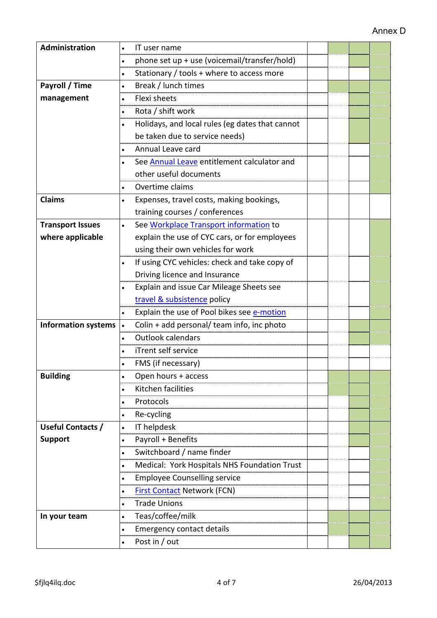| Administration             | IT user name                                              |  |  |  |
|----------------------------|-----------------------------------------------------------|--|--|--|
|                            | phone set up + use (voicemail/transfer/hold)<br>$\bullet$ |  |  |  |
|                            | Stationary / tools + where to access more<br>$\bullet$    |  |  |  |
| Payroll / Time             | Break / lunch times<br>$\bullet$                          |  |  |  |
| management                 | <b>Flexi sheets</b>                                       |  |  |  |
|                            | Rota / shift work<br>$\bullet$                            |  |  |  |
|                            | Holidays, and local rules (eg dates that cannot           |  |  |  |
|                            | be taken due to service needs)                            |  |  |  |
|                            | Annual Leave card                                         |  |  |  |
|                            | See Annual Leave entitlement calculator and               |  |  |  |
|                            | other useful documents                                    |  |  |  |
|                            | Overtime claims                                           |  |  |  |
| <b>Claims</b>              | Expenses, travel costs, making bookings,<br>$\bullet$     |  |  |  |
|                            | training courses / conferences                            |  |  |  |
| <b>Transport Issues</b>    | See Workplace Transport information to<br>$\bullet$       |  |  |  |
| where applicable           | explain the use of CYC cars, or for employees             |  |  |  |
|                            | using their own vehicles for work                         |  |  |  |
|                            | If using CYC vehicles: check and take copy of             |  |  |  |
|                            | Driving licence and Insurance                             |  |  |  |
|                            | Explain and issue Car Mileage Sheets see                  |  |  |  |
|                            | travel & subsistence policy                               |  |  |  |
|                            | Explain the use of Pool bikes see e-motion                |  |  |  |
| <b>Information systems</b> | Colin + add personal/ team info, inc photo<br>$\bullet$   |  |  |  |
|                            | <b>Outlook calendars</b><br>$\bullet$                     |  |  |  |
|                            | iTrent self service                                       |  |  |  |
|                            | FMS (if necessary)                                        |  |  |  |
| <b>Building</b>            | Open hours + access<br>$\bullet$                          |  |  |  |
|                            | Kitchen facilities<br>$\bullet$                           |  |  |  |
|                            | Protocols<br>$\bullet$                                    |  |  |  |
|                            | Re-cycling<br>٠                                           |  |  |  |
| Useful Contacts /          | IT helpdesk<br>$\bullet$                                  |  |  |  |
| <b>Support</b>             | Payroll + Benefits<br>$\bullet$                           |  |  |  |
|                            | Switchboard / name finder<br>$\bullet$                    |  |  |  |
|                            | Medical: York Hospitals NHS Foundation Trust<br>$\bullet$ |  |  |  |
|                            | <b>Employee Counselling service</b><br>$\bullet$          |  |  |  |
|                            | <b>First Contact Network (FCN)</b><br>$\bullet$           |  |  |  |
|                            | <b>Trade Unions</b><br>$\bullet$                          |  |  |  |
| In your team               | Teas/coffee/milk<br>$\bullet$                             |  |  |  |
|                            | <b>Emergency contact details</b><br>٠                     |  |  |  |
|                            | Post in / out                                             |  |  |  |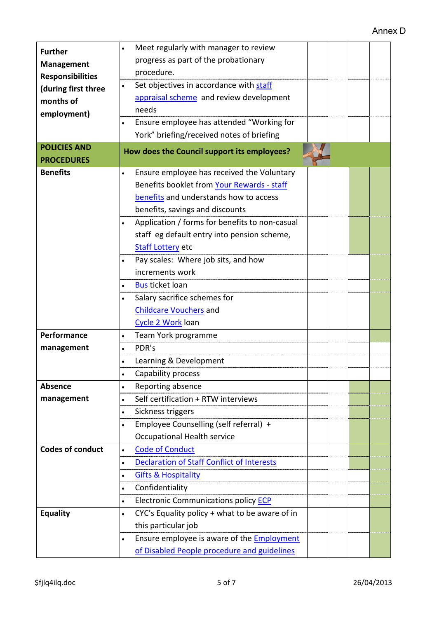| <b>Further</b>                               | Meet regularly with manager to review                          |  |  |
|----------------------------------------------|----------------------------------------------------------------|--|--|
|                                              | progress as part of the probationary                           |  |  |
| <b>Management</b><br><b>Responsibilities</b> | procedure.                                                     |  |  |
| (during first three                          | Set objectives in accordance with staff<br>$\bullet$           |  |  |
| months of                                    | appraisal scheme and review development                        |  |  |
| employment)                                  | needs                                                          |  |  |
|                                              | Ensure employee has attended "Working for                      |  |  |
|                                              | York" briefing/received notes of briefing                      |  |  |
| <b>POLICIES AND</b>                          | How does the Council support its employees?                    |  |  |
| <b>PROCEDURES</b>                            |                                                                |  |  |
| <b>Benefits</b>                              | Ensure employee has received the Voluntary<br>$\bullet$        |  |  |
|                                              | Benefits booklet from Your Rewards - staff                     |  |  |
|                                              | benefits and understands how to access                         |  |  |
|                                              | benefits, savings and discounts                                |  |  |
|                                              | Application / forms for benefits to non-casual                 |  |  |
|                                              | staff eg default entry into pension scheme,                    |  |  |
|                                              | <b>Staff Lottery etc</b>                                       |  |  |
|                                              | Pay scales: Where job sits, and how                            |  |  |
|                                              | increments work                                                |  |  |
|                                              | <b>Bus</b> ticket loan                                         |  |  |
|                                              | Salary sacrifice schemes for                                   |  |  |
|                                              | <b>Childcare Vouchers</b> and                                  |  |  |
|                                              | Cycle 2 Work loan                                              |  |  |
| Performance                                  | Team York programme<br>$\bullet$                               |  |  |
| management                                   | PDR's                                                          |  |  |
|                                              | Learning & Development                                         |  |  |
|                                              | Capability process<br>$\bullet$                                |  |  |
| <b>Absence</b>                               | Reporting absence<br>$\bullet$                                 |  |  |
| management                                   | Self certification + RTW interviews<br>$\bullet$               |  |  |
|                                              | Sickness triggers<br>$\bullet$                                 |  |  |
|                                              | Employee Counselling (self referral) +<br>$\bullet$            |  |  |
|                                              | Occupational Health service                                    |  |  |
| <b>Codes of conduct</b>                      | <b>Code of Conduct</b><br>$\bullet$                            |  |  |
|                                              | <b>Declaration of Staff Conflict of Interests</b><br>$\bullet$ |  |  |
|                                              | <b>Gifts &amp; Hospitality</b>                                 |  |  |
|                                              | Confidentiality<br>$\bullet$                                   |  |  |
|                                              | Electronic Communications policy <b>ECP</b><br>$\bullet$       |  |  |
| <b>Equality</b>                              | CYC's Equality policy + what to be aware of in<br>$\bullet$    |  |  |
|                                              | this particular job                                            |  |  |
|                                              | Ensure employee is aware of the <b>Employment</b><br>$\bullet$ |  |  |
|                                              | of Disabled People procedure and guidelines                    |  |  |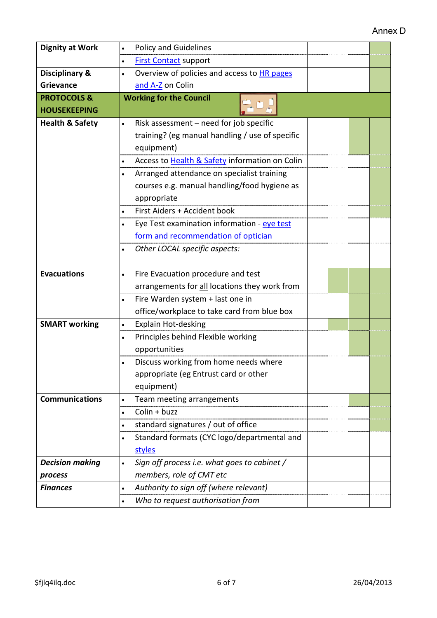| <b>Dignity at Work</b>     | <b>Policy and Guidelines</b><br>٠                         |  |  |  |  |
|----------------------------|-----------------------------------------------------------|--|--|--|--|
|                            | <b>First Contact support</b><br>$\bullet$                 |  |  |  |  |
| <b>Disciplinary &amp;</b>  | Overview of policies and access to HR pages<br>$\bullet$  |  |  |  |  |
| <b>Grievance</b>           | and A-Z on Colin                                          |  |  |  |  |
| <b>PROTOCOLS &amp;</b>     | <b>Working for the Council</b>                            |  |  |  |  |
| <b>HOUSEKEEPING</b>        |                                                           |  |  |  |  |
| <b>Health &amp; Safety</b> | Risk assessment - need for job specific<br>$\bullet$      |  |  |  |  |
|                            | training? (eg manual handling / use of specific           |  |  |  |  |
|                            | equipment)                                                |  |  |  |  |
|                            | Access to Health & Safety information on Colin            |  |  |  |  |
|                            | Arranged attendance on specialist training<br>$\bullet$   |  |  |  |  |
|                            | courses e.g. manual handling/food hygiene as              |  |  |  |  |
|                            | appropriate                                               |  |  |  |  |
|                            | First Aiders + Accident book                              |  |  |  |  |
|                            | Eye Test examination information - eye test               |  |  |  |  |
|                            | form and recommendation of optician                       |  |  |  |  |
|                            | Other LOCAL specific aspects:<br>$\bullet$                |  |  |  |  |
|                            |                                                           |  |  |  |  |
| <b>Evacuations</b>         | Fire Evacuation procedure and test                        |  |  |  |  |
|                            | arrangements for all locations they work from             |  |  |  |  |
|                            | Fire Warden system + last one in                          |  |  |  |  |
|                            | office/workplace to take card from blue box               |  |  |  |  |
| <b>SMART</b> working       | Explain Hot-desking<br>$\bullet$                          |  |  |  |  |
|                            | Principles behind Flexible working<br>$\bullet$           |  |  |  |  |
|                            | opportunities                                             |  |  |  |  |
|                            | Discuss working from home needs where                     |  |  |  |  |
|                            | appropriate (eg Entrust card or other                     |  |  |  |  |
|                            | equipment)                                                |  |  |  |  |
| <b>Communications</b>      | Team meeting arrangements<br>$\bullet$                    |  |  |  |  |
|                            | Colin + buzz<br>$\bullet$                                 |  |  |  |  |
|                            | standard signatures / out of office<br>$\bullet$          |  |  |  |  |
|                            | Standard formats (CYC logo/departmental and<br>$\bullet$  |  |  |  |  |
|                            | styles                                                    |  |  |  |  |
| <b>Decision making</b>     | Sign off process i.e. what goes to cabinet /<br>$\bullet$ |  |  |  |  |
| process                    | members, role of CMT etc                                  |  |  |  |  |
| <b>Finances</b>            | Authority to sign off (where relevant)<br>$\bullet$       |  |  |  |  |
|                            | Who to request authorisation from<br>$\bullet$            |  |  |  |  |